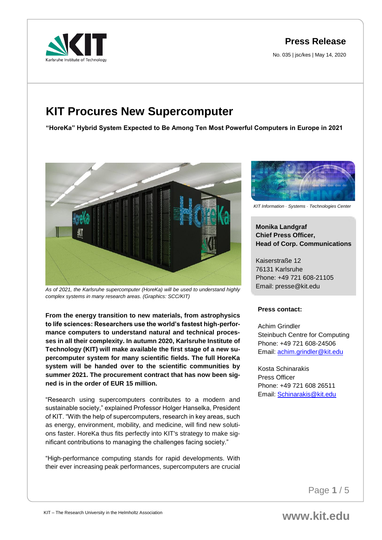**Press Release**

No. 035 | jsc/kes | May 14, 2020



# **KIT Procures New Supercomputer**

**"HoreKa" Hybrid System Expected to Be Among Ten Most Powerful Computers in Europe in 2021**



*As of 2021, the Karlsruhe supercomputer (HoreKa) will be used to understand highly complex systems in many research areas. (Graphics: SCC/KIT)*

**From the energy transition to new materials, from astrophysics to life sciences: Researchers use the world's fastest high-performance computers to understand natural and technical processes in all their complexity. In autumn 2020, Karlsruhe Institute of Technology (KIT) will make available the first stage of a new supercomputer system for many scientific fields. The full HoreKa system will be handed over to the scientific communities by summer 2021. The procurement contract that has now been signed is in the order of EUR 15 million.**

"Research using supercomputers contributes to a modern and sustainable society," explained Professor Holger Hanselka, President of KIT. "With the help of supercomputers, research in key areas, such as energy, environment, mobility, and medicine, will find new solutions faster. HoreKa thus fits perfectly into KIT's strategy to make significant contributions to managing the challenges facing society."

"High-performance computing stands for rapid developments. With their ever increasing peak performances, supercomputers are crucial



*KIT Information* · *Systems* · *Technologies Center*

# **Monika Landgraf Chief Press Officer, Head of Corp. Communications**

Kaiserstraße 12 76131 Karlsruhe Phone: +49 721 608-21105 Email: presse@kit.edu

# **Press contact:**

Achim Grindler Steinbuch Centre for Computing Phone: +49 721 608-24506 Email: [achim.grindler@kit.edu](mailto:achim.grindler@kit.edu)

Kosta Schinarakis Press Officer Phone: +49 721 608 26511 Email: [Schinarakis@kit.edu](mailto:Schinarakis@kit.edu)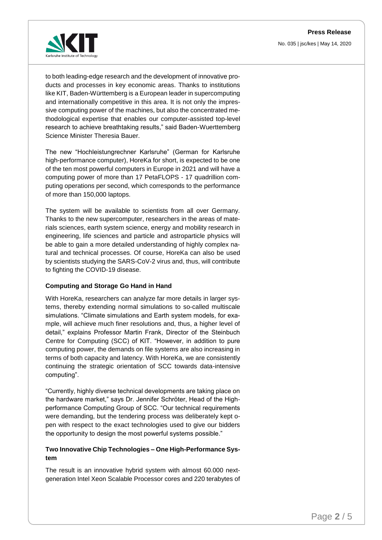

to both leading-edge research and the development of innovative products and processes in key economic areas. Thanks to institutions like KIT, Baden-Württemberg is a European leader in supercomputing and internationally competitive in this area. It is not only the impressive computing power of the machines, but also the concentrated methodological expertise that enables our computer-assisted top-level research to achieve breathtaking results," said Baden-Wuerttemberg Science Minister Theresia Bauer.

The new "Hochleistungrechner Karlsruhe" (German for Karlsruhe high-performance computer), HoreKa for short, is expected to be one of the ten most powerful computers in Europe in 2021 and will have a computing power of more than 17 PetaFLOPS - 17 quadrillion computing operations per second, which corresponds to the performance of more than 150,000 laptops.

The system will be available to scientists from all over Germany. Thanks to the new supercomputer, researchers in the areas of materials sciences, earth system science, energy and mobility research in engineering, life sciences and particle and astroparticle physics will be able to gain a more detailed understanding of highly complex natural and technical processes. Of course, HoreKa can also be used by scientists studying the SARS-CoV-2 virus and, thus, will contribute to fighting the COVID-19 disease.

### **Computing and Storage Go Hand in Hand**

With HoreKa, researchers can analyze far more details in larger systems, thereby extending normal simulations to so-called multiscale simulations. "Climate simulations and Earth system models, for example, will achieve much finer resolutions and, thus, a higher level of detail," explains Professor Martin Frank, Director of the Steinbuch Centre for Computing (SCC) of KIT. "However, in addition to pure computing power, the demands on file systems are also increasing in terms of both capacity and latency. With HoreKa, we are consistently continuing the strategic orientation of SCC towards data-intensive computing".

"Currently, highly diverse technical developments are taking place on the hardware market," says Dr. Jennifer Schröter, Head of the Highperformance Computing Group of SCC. "Our technical requirements were demanding, but the tendering process was deliberately kept open with respect to the exact technologies used to give our bidders the opportunity to design the most powerful systems possible."

# **Two Innovative Chip Technologies – One High-Performance System**

The result is an innovative hybrid system with almost 60.000 nextgeneration Intel Xeon Scalable Processor cores and 220 terabytes of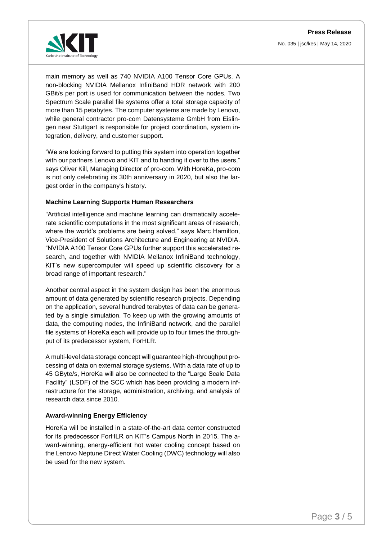

main memory as well as 740 NVIDIA A100 Tensor Core GPUs. A non-blocking NVIDIA Mellanox InfiniBand HDR network with 200 GBit/s per port is used for communication between the nodes. Two Spectrum Scale parallel file systems offer a total storage capacity of more than 15 petabytes. The computer systems are made by Lenovo, while general contractor pro-com Datensysteme GmbH from Eislingen near Stuttgart is responsible for project coordination, system integration, delivery, and customer support.

"We are looking forward to putting this system into operation together with our partners Lenovo and KIT and to handing it over to the users," says Oliver Kill, Managing Director of pro-com. With HoreKa, pro-com is not only celebrating its 30th anniversary in 2020, but also the largest order in the company's history.

### **Machine Learning Supports Human Researchers**

"Artificial intelligence and machine learning can dramatically accelerate scientific computations in the most significant areas of research, where the world's problems are being solved," says Marc Hamilton, Vice-President of Solutions Architecture and Engineering at NVIDIA. "NVIDIA A100 Tensor Core GPUs further support this accelerated research, and together with NVIDIA Mellanox InfiniBand technology, KIT's new supercomputer will speed up scientific discovery for a broad range of important research."

Another central aspect in the system design has been the enormous amount of data generated by scientific research projects. Depending on the application, several hundred terabytes of data can be generated by a single simulation. To keep up with the growing amounts of data, the computing nodes, the InfiniBand network, and the parallel file systems of HoreKa each will provide up to four times the throughput of its predecessor system, ForHLR.

A multi-level data storage concept will guarantee high-throughput processing of data on external storage systems. With a data rate of up to 45 GByte/s, HoreKa will also be connected to the "Large Scale Data Facility" (LSDF) of the SCC which has been providing a modern infrastructure for the storage, administration, archiving, and analysis of research data since 2010.

#### **Award-winning Energy Efficiency**

HoreKa will be installed in a state-of-the-art data center constructed for its predecessor ForHLR on KIT's Campus North in 2015. The award-winning, energy-efficient hot water cooling concept based on the Lenovo Neptune Direct Water Cooling (DWC) technology will also be used for the new system.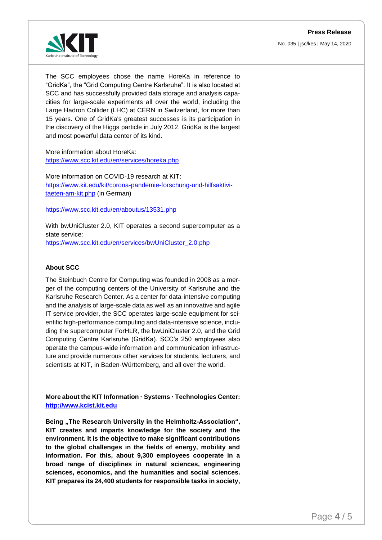

The SCC employees chose the name HoreKa in reference to "GridKa", the "Grid Computing Centre Karlsruhe". It is also located at SCC and has successfully provided data storage and analysis capacities for large-scale experiments all over the world, including the Large Hadron Collider (LHC) at CERN in Switzerland, for more than 15 years. One of GridKa's greatest successes is its participation in the discovery of the Higgs particle in July 2012. GridKa is the largest and most powerful data center of its kind.

More information about HoreKa: <https://www.scc.kit.edu/en/services/horeka.php>

More information on COVID-19 research at KIT: [https://www.kit.edu/kit/corona-pandemie-forschung-und-hilfsaktivi](https://www.kit.edu/kit/corona-pandemie-forschung-und-hilfsaktivitaeten-am-kit.php)[taeten-am-kit.php](https://www.kit.edu/kit/corona-pandemie-forschung-und-hilfsaktivitaeten-am-kit.php) (in German)

#### <https://www.scc.kit.edu/en/aboutus/13531.php>

With bwUniCluster 2.0, KIT operates a second supercomputer as a state service: [https://www.scc.kit.edu/en/services/bwUniCluster\\_2.0.php](https://www.scc.kit.edu/en/services/bwUniCluster_2.0.php)

## **About SCC**

The Steinbuch Centre for Computing was founded in 2008 as a merger of the computing centers of the University of Karlsruhe and the Karlsruhe Research Center. As a center for data-intensive computing and the analysis of large-scale data as well as an innovative and agile IT service provider, the SCC operates large-scale equipment for scientific high-performance computing and data-intensive science, including the supercomputer ForHLR, the bwUniCluster 2.0, and the Grid Computing Centre Karlsruhe (GridKa). SCC's 250 employees also operate the campus-wide information and communication infrastructure and provide numerous other services for students, lecturers, and scientists at KIT, in Baden-Württemberg, and all over the world.

**More about the KIT Information · Systems · Technologies Center: [http://www.kcist.kit.edu](http://www.kcist.kit.edu/)**

Being "The Research University in the Helmholtz-Association", **KIT creates and imparts knowledge for the society and the environment. It is the objective to make significant contributions to the global challenges in the fields of energy, mobility and information. For this, about 9,300 employees cooperate in a broad range of disciplines in natural sciences, engineering sciences, economics, and the humanities and social sciences. KIT prepares its 24,400 students for responsible tasks in society,**